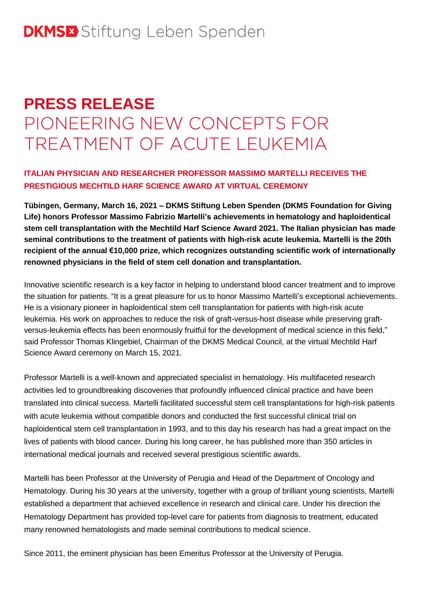# **PRESS RELEASE** PIONEERING NEW CONCEPTS FOR TREATMENT OF ACUTE LEUKEMIA

## **ITALIAN PHYSICIAN AND RESEARCHER PROFESSOR MASSIMO MARTELLI RECEIVES THE PRESTIGIOUS MECHTILD HARF SCIENCE AWARD AT VIRTUAL CEREMONY**

**Tübingen, Germany, March 16, 2021 – DKMS Stiftung Leben Spenden (DKMS Foundation for Giving Life) honors Professor Massimo Fabrizio Martelli's achievements in hematology and haploidentical stem cell transplantation with the Mechtild Harf Science Award 2021. The Italian physician has made seminal contributions to the treatment of patients with high-risk acute leukemia. Martelli is the 20th recipient of the annual €10,000 prize, which recognizes outstanding scientific work of internationally renowned physicians in the field of stem cell donation and transplantation.**

Innovative scientific research is a key factor in helping to understand blood cancer treatment and to improve the situation for patients. "It is a great pleasure for us to honor Massimo Martelli's exceptional achievements. He is a visionary pioneer in haploidentical stem cell transplantation for patients with high-risk acute leukemia. His work on approaches to reduce the risk of graft-versus-host disease while preserving graftversus-leukemia effects has been enormously fruitful for the development of medical science in this field," said Professor Thomas Klingebiel, Chairman of the DKMS Medical Council, at the virtual Mechtild Harf Science Award ceremony on March 15, 2021.

Professor Martelli is a well-known and appreciated specialist in hematology. His multifaceted research activities led to groundbreaking discoveries that profoundly influenced clinical practice and have been translated into clinical success. Martelli facilitated successful stem cell transplantations for high-risk patients with acute leukemia without compatible donors and conducted the first successful clinical trial on haploidentical stem cell transplantation in 1993, and to this day his research has had a great impact on the lives of patients with blood cancer. During his long career, he has published more than 350 articles in international medical journals and received several prestigious scientific awards.

Martelli has been Professor at the University of Perugia and Head of the Department of Oncology and Hematology. During his 30 years at the university, together with a group of brilliant young scientists, Martelli established a department that achieved excellence in research and clinical care. Under his direction the Hematology Department has provided top-level care for patients from diagnosis to treatment, educated many renowned hematologists and made seminal contributions to medical science.

Since 2011, the eminent physician has been Emeritus Professor at the University of Perugia.